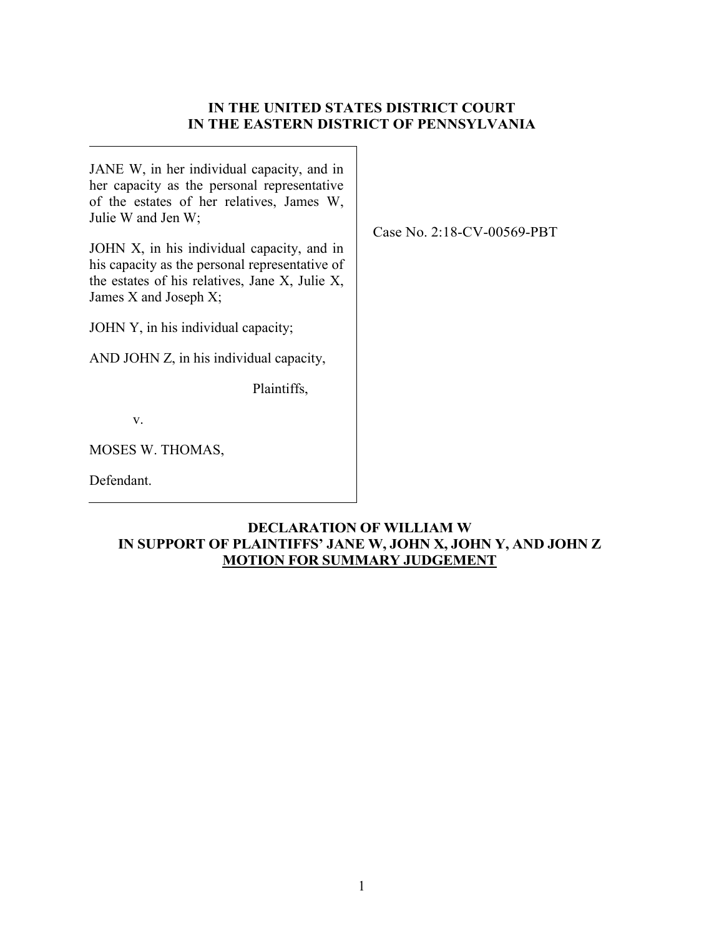# **IN THE UNITED STATES DISTRICT COURT IN THE EASTERN DISTRICT OF PENNSYLVANIA**

Case No. 2:18-CV-00569-PBT

JANE W, in her individual capacity, and in her capacity as the personal representative of the estates of her relatives, James W, Julie W and Jen W;

JOHN X, in his individual capacity, and in his capacity as the personal representative of the estates of his relatives, Jane X, Julie X, James X and Joseph X;

JOHN Y, in his individual capacity;

AND JOHN Z, in his individual capacity,

Plaintiffs,

v.

MOSES W. THOMAS,

Defendant.

## **DECLARATION OF WILLIAM W IN SUPPORT OF PLAINTIFFS' JANE W, JOHN X, JOHN Y, AND JOHN Z MOTION FOR SUMMARY JUDGEMENT**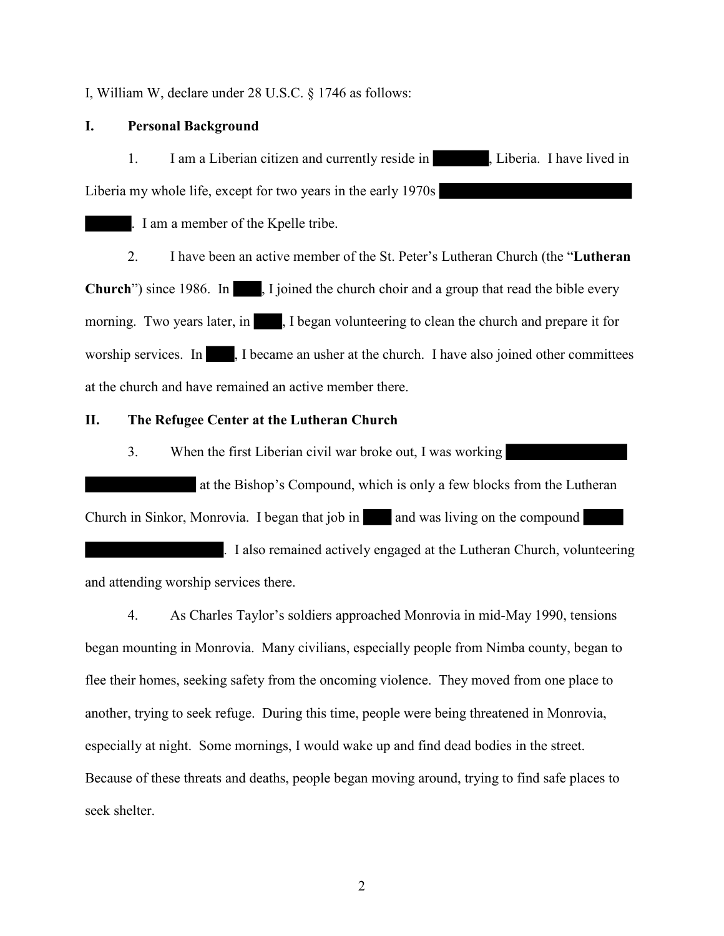I, William W, declare under 28 U.S.C. § 1746 as follows:

### **I. Personal Background**

1. I am a Liberian citizen and currently reside in , Liberia. I have lived in Liberia my whole life, except for two years in the early 1970s

. I am a member of the Kpelle tribe.

2. I have been an active member of the St. Peter's Lutheran Church (the "**Lutheran Church**") since 1986. In , I joined the church choir and a group that read the bible every morning. Two years later, in , I began volunteering to clean the church and prepare it for worship services. In , I became an usher at the church. I have also joined other committees at the church and have remained an active member there.

#### **II. The Refugee Center at the Lutheran Church**

3. When the first Liberian civil war broke out, I was working

at the Bishop's Compound, which is only a few blocks from the Lutheran Church in Sinkor, Monrovia. I began that job in and was living on the compound

. I also remained actively engaged at the Lutheran Church, volunteering and attending worship services there.

4. As Charles Taylor's soldiers approached Monrovia in mid-May 1990, tensions began mounting in Monrovia. Many civilians, especially people from Nimba county, began to flee their homes, seeking safety from the oncoming violence. They moved from one place to another, trying to seek refuge. During this time, people were being threatened in Monrovia, especially at night. Some mornings, I would wake up and find dead bodies in the street. Because of these threats and deaths, people began moving around, trying to find safe places to seek shelter.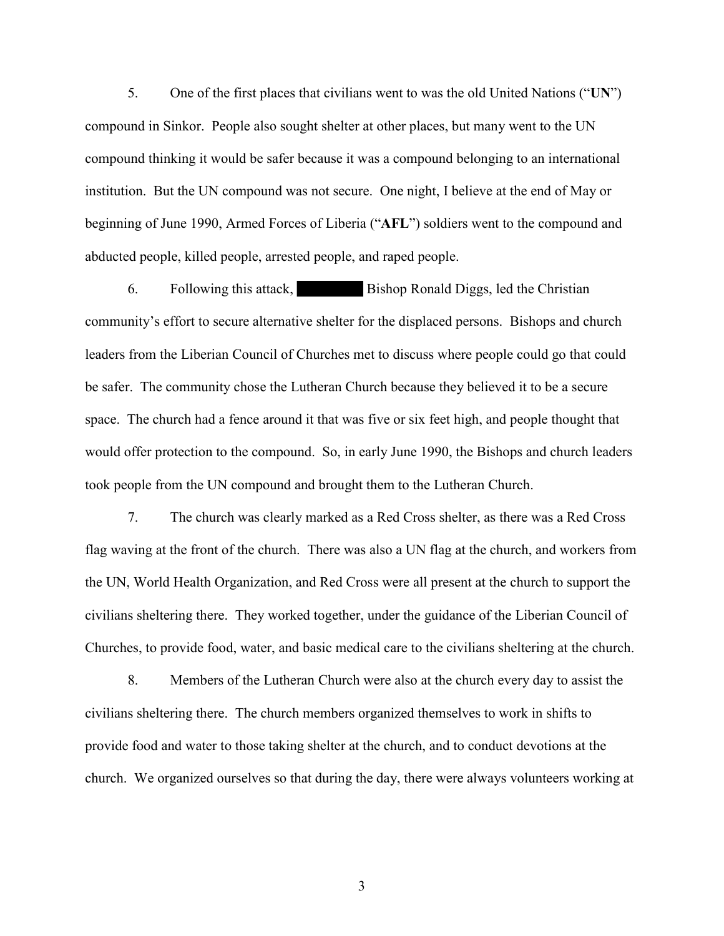5. One of the first places that civilians went to was the old United Nations ("**UN**") compound in Sinkor. People also sought shelter at other places, but many went to the UN compound thinking it would be safer because it was a compound belonging to an international institution. But the UN compound was not secure. One night, I believe at the end of May or beginning of June 1990, Armed Forces of Liberia ("**AFL**") soldiers went to the compound and abducted people, killed people, arrested people, and raped people.

6. Following this attack, Bishop Ronald Diggs, led the Christian community's effort to secure alternative shelter for the displaced persons. Bishops and church leaders from the Liberian Council of Churches met to discuss where people could go that could be safer. The community chose the Lutheran Church because they believed it to be a secure space. The church had a fence around it that was five or six feet high, and people thought that would offer protection to the compound. So, in early June 1990, the Bishops and church leaders took people from the UN compound and brought them to the Lutheran Church.

7. The church was clearly marked as a Red Cross shelter, as there was a Red Cross flag waving at the front of the church. There was also a UN flag at the church, and workers from the UN, World Health Organization, and Red Cross were all present at the church to support the civilians sheltering there. They worked together, under the guidance of the Liberian Council of Churches, to provide food, water, and basic medical care to the civilians sheltering at the church.

8. Members of the Lutheran Church were also at the church every day to assist the civilians sheltering there. The church members organized themselves to work in shifts to provide food and water to those taking shelter at the church, and to conduct devotions at the church. We organized ourselves so that during the day, there were always volunteers working at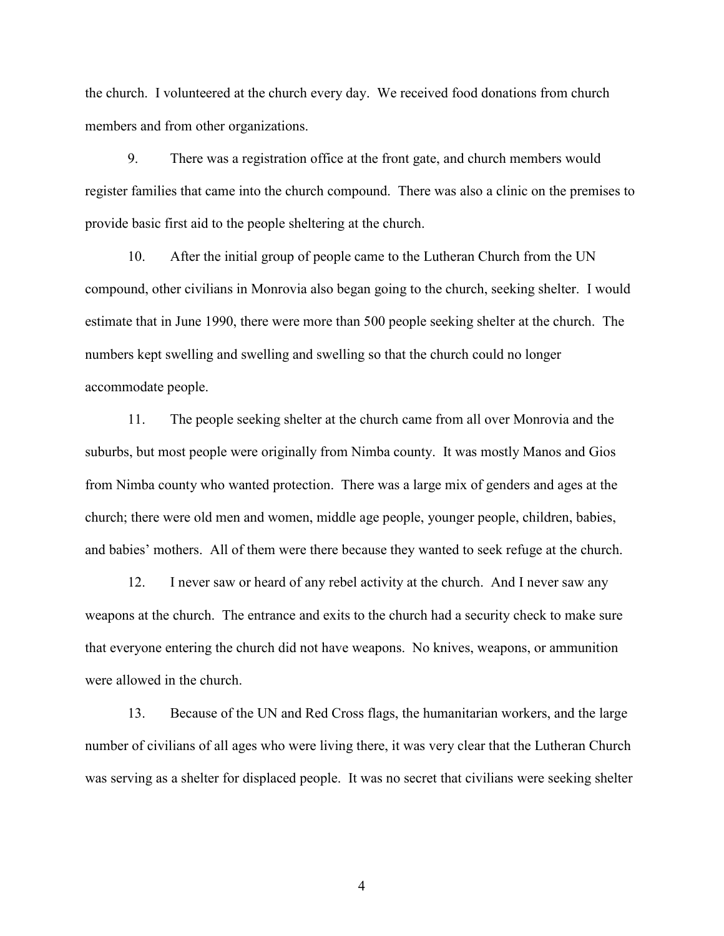the church. I volunteered at the church every day. We received food donations from church members and from other organizations.

9. There was a registration office at the front gate, and church members would register families that came into the church compound. There was also a clinic on the premises to provide basic first aid to the people sheltering at the church.

10. After the initial group of people came to the Lutheran Church from the UN compound, other civilians in Monrovia also began going to the church, seeking shelter. I would estimate that in June 1990, there were more than 500 people seeking shelter at the church. The numbers kept swelling and swelling and swelling so that the church could no longer accommodate people.

11. The people seeking shelter at the church came from all over Monrovia and the suburbs, but most people were originally from Nimba county. It was mostly Manos and Gios from Nimba county who wanted protection. There was a large mix of genders and ages at the church; there were old men and women, middle age people, younger people, children, babies, and babies' mothers. All of them were there because they wanted to seek refuge at the church.

12. I never saw or heard of any rebel activity at the church. And I never saw any weapons at the church. The entrance and exits to the church had a security check to make sure that everyone entering the church did not have weapons. No knives, weapons, or ammunition were allowed in the church.

13. Because of the UN and Red Cross flags, the humanitarian workers, and the large number of civilians of all ages who were living there, it was very clear that the Lutheran Church was serving as a shelter for displaced people. It was no secret that civilians were seeking shelter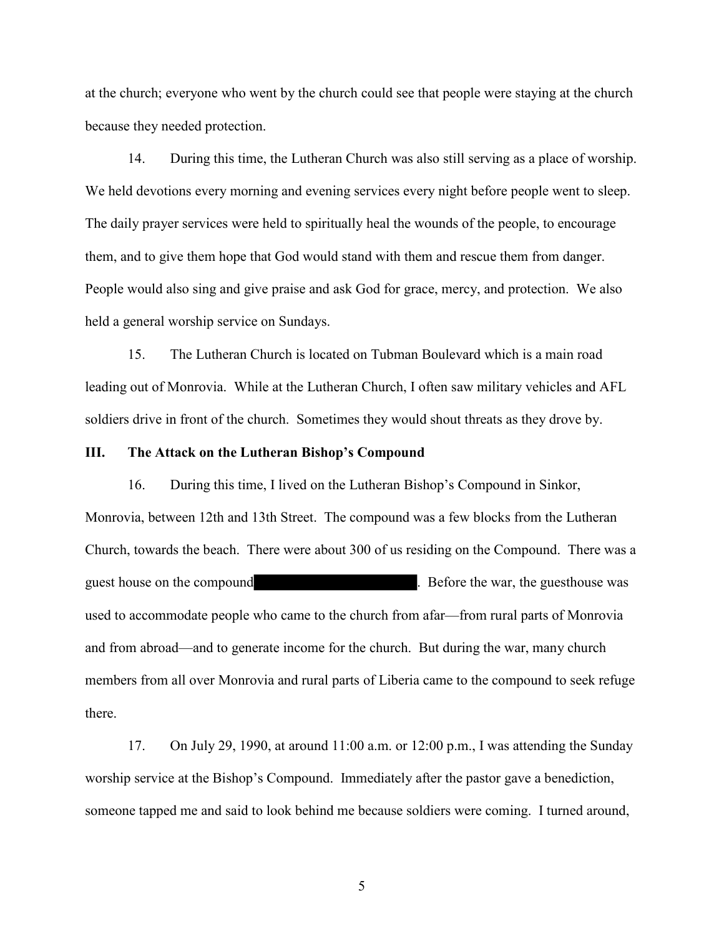at the church; everyone who went by the church could see that people were staying at the church because they needed protection.

14. During this time, the Lutheran Church was also still serving as a place of worship. We held devotions every morning and evening services every night before people went to sleep. The daily prayer services were held to spiritually heal the wounds of the people, to encourage them, and to give them hope that God would stand with them and rescue them from danger. People would also sing and give praise and ask God for grace, mercy, and protection. We also held a general worship service on Sundays.

15. The Lutheran Church is located on Tubman Boulevard which is a main road leading out of Monrovia. While at the Lutheran Church, I often saw military vehicles and AFL soldiers drive in front of the church. Sometimes they would shout threats as they drove by.

#### **III. The Attack on the Lutheran Bishop's Compound**

16. During this time, I lived on the Lutheran Bishop's Compound in Sinkor, Monrovia, between 12th and 13th Street. The compound was a few blocks from the Lutheran Church, towards the beach. There were about 300 of us residing on the Compound. There was a guest house on the compound **Example 2.** Before the war, the guesthouse was used to accommodate people who came to the church from afar—from rural parts of Monrovia and from abroad—and to generate income for the church. But during the war, many church members from all over Monrovia and rural parts of Liberia came to the compound to seek refuge there.

17. On July 29, 1990, at around 11:00 a.m. or 12:00 p.m., I was attending the Sunday worship service at the Bishop's Compound. Immediately after the pastor gave a benediction, someone tapped me and said to look behind me because soldiers were coming. I turned around,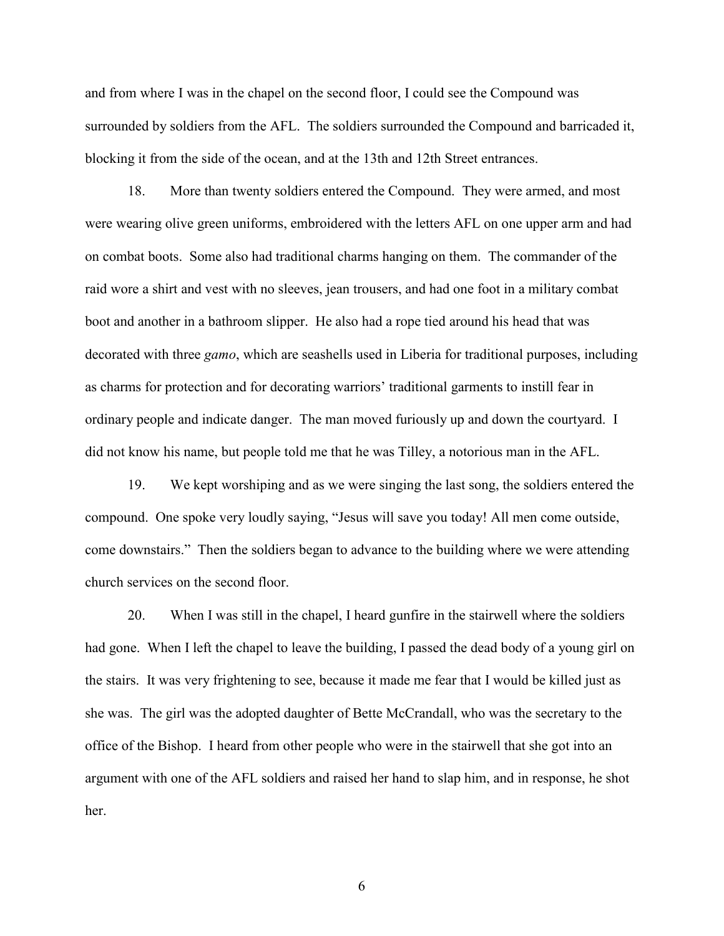and from where I was in the chapel on the second floor, I could see the Compound was surrounded by soldiers from the AFL. The soldiers surrounded the Compound and barricaded it, blocking it from the side of the ocean, and at the 13th and 12th Street entrances.

18. More than twenty soldiers entered the Compound. They were armed, and most were wearing olive green uniforms, embroidered with the letters AFL on one upper arm and had on combat boots. Some also had traditional charms hanging on them. The commander of the raid wore a shirt and vest with no sleeves, jean trousers, and had one foot in a military combat boot and another in a bathroom slipper. He also had a rope tied around his head that was decorated with three *gamo*, which are seashells used in Liberia for traditional purposes, including as charms for protection and for decorating warriors' traditional garments to instill fear in ordinary people and indicate danger. The man moved furiously up and down the courtyard. I did not know his name, but people told me that he was Tilley, a notorious man in the AFL.

19. We kept worshiping and as we were singing the last song, the soldiers entered the compound. One spoke very loudly saying, "Jesus will save you today! All men come outside, come downstairs." Then the soldiers began to advance to the building where we were attending church services on the second floor.

20. When I was still in the chapel, I heard gunfire in the stairwell where the soldiers had gone. When I left the chapel to leave the building, I passed the dead body of a young girl on the stairs. It was very frightening to see, because it made me fear that I would be killed just as she was. The girl was the adopted daughter of Bette McCrandall, who was the secretary to the office of the Bishop. I heard from other people who were in the stairwell that she got into an argument with one of the AFL soldiers and raised her hand to slap him, and in response, he shot her.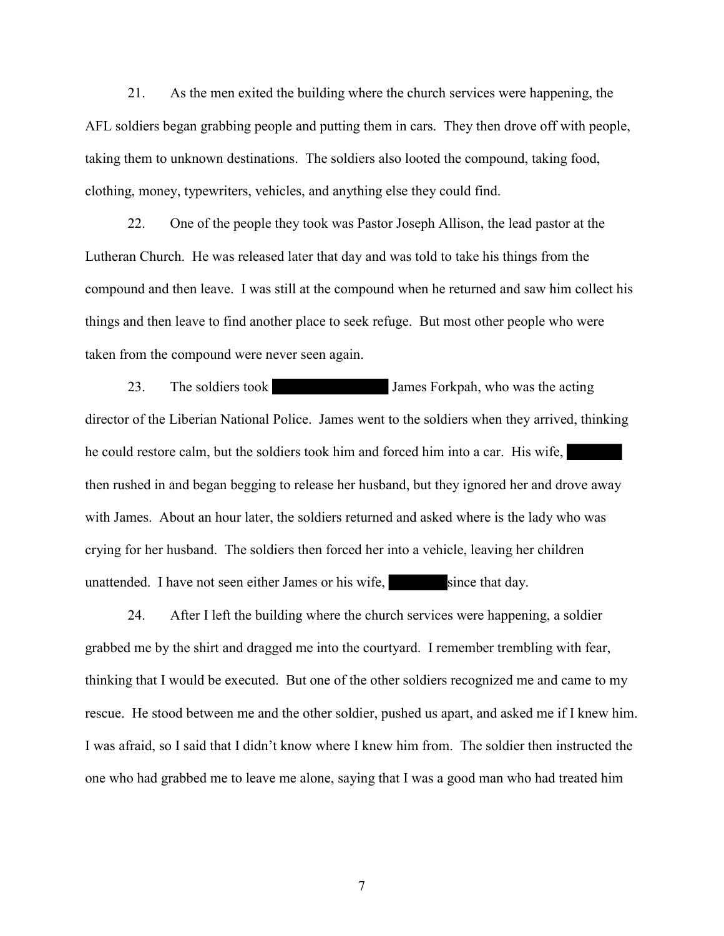21. As the men exited the building where the church services were happening, the AFL soldiers began grabbing people and putting them in cars. They then drove off with people, taking them to unknown destinations. The soldiers also looted the compound, taking food, clothing, money, typewriters, vehicles, and anything else they could find.

22. One of the people they took was Pastor Joseph Allison, the lead pastor at the Lutheran Church. He was released later that day and was told to take his things from the compound and then leave. I was still at the compound when he returned and saw him collect his things and then leave to find another place to seek refuge. But most other people who were taken from the compound were never seen again.

23. The soldiers took James Forkpah, who was the acting director of the Liberian National Police. James went to the soldiers when they arrived, thinking he could restore calm, but the soldiers took him and forced him into a car. His wife, then rushed in and began begging to release her husband, but they ignored her and drove away with James. About an hour later, the soldiers returned and asked where is the lady who was crying for her husband. The soldiers then forced her into a vehicle, leaving her children unattended. I have not seen either James or his wife, since that day.

24. After I left the building where the church services were happening, a soldier grabbed me by the shirt and dragged me into the courtyard. I remember trembling with fear, thinking that I would be executed. But one of the other soldiers recognized me and came to my rescue. He stood between me and the other soldier, pushed us apart, and asked me if I knew him. I was afraid, so I said that I didn't know where I knew him from. The soldier then instructed the one who had grabbed me to leave me alone, saying that I was a good man who had treated him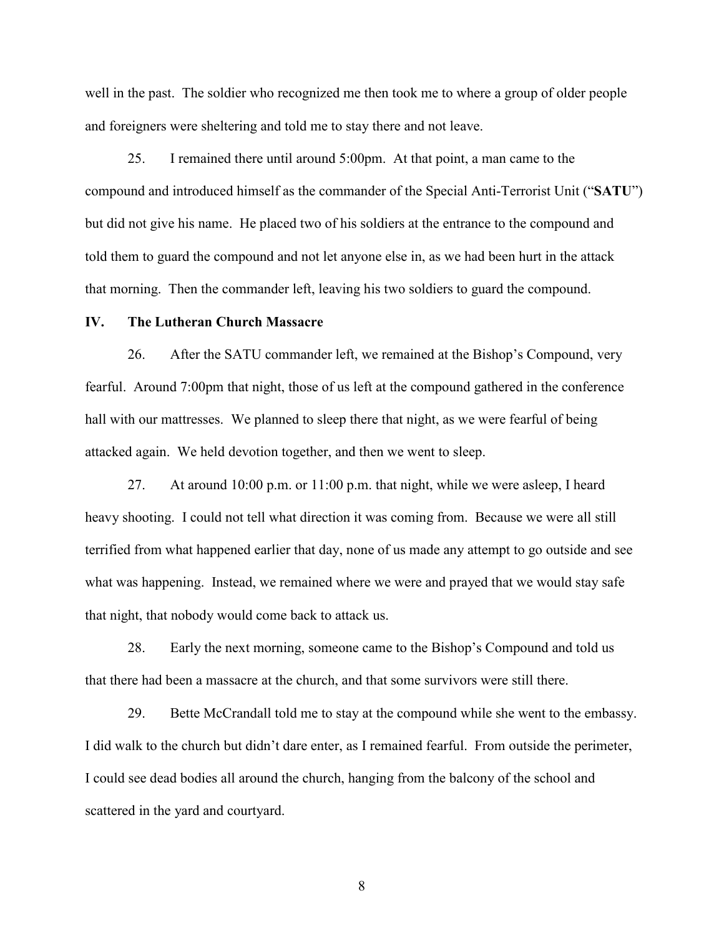well in the past. The soldier who recognized me then took me to where a group of older people and foreigners were sheltering and told me to stay there and not leave.

25. I remained there until around 5:00pm. At that point, a man came to the compound and introduced himself as the commander of the Special Anti-Terrorist Unit ("**SATU**") but did not give his name. He placed two of his soldiers at the entrance to the compound and told them to guard the compound and not let anyone else in, as we had been hurt in the attack that morning. Then the commander left, leaving his two soldiers to guard the compound.

#### **IV. The Lutheran Church Massacre**

26. After the SATU commander left, we remained at the Bishop's Compound, very fearful. Around 7:00pm that night, those of us left at the compound gathered in the conference hall with our mattresses. We planned to sleep there that night, as we were fearful of being attacked again. We held devotion together, and then we went to sleep.

27. At around 10:00 p.m. or 11:00 p.m. that night, while we were asleep, I heard heavy shooting. I could not tell what direction it was coming from. Because we were all still terrified from what happened earlier that day, none of us made any attempt to go outside and see what was happening. Instead, we remained where we were and prayed that we would stay safe that night, that nobody would come back to attack us.

28. Early the next morning, someone came to the Bishop's Compound and told us that there had been a massacre at the church, and that some survivors were still there.

29. Bette McCrandall told me to stay at the compound while she went to the embassy. I did walk to the church but didn't dare enter, as I remained fearful. From outside the perimeter, I could see dead bodies all around the church, hanging from the balcony of the school and scattered in the yard and courtyard.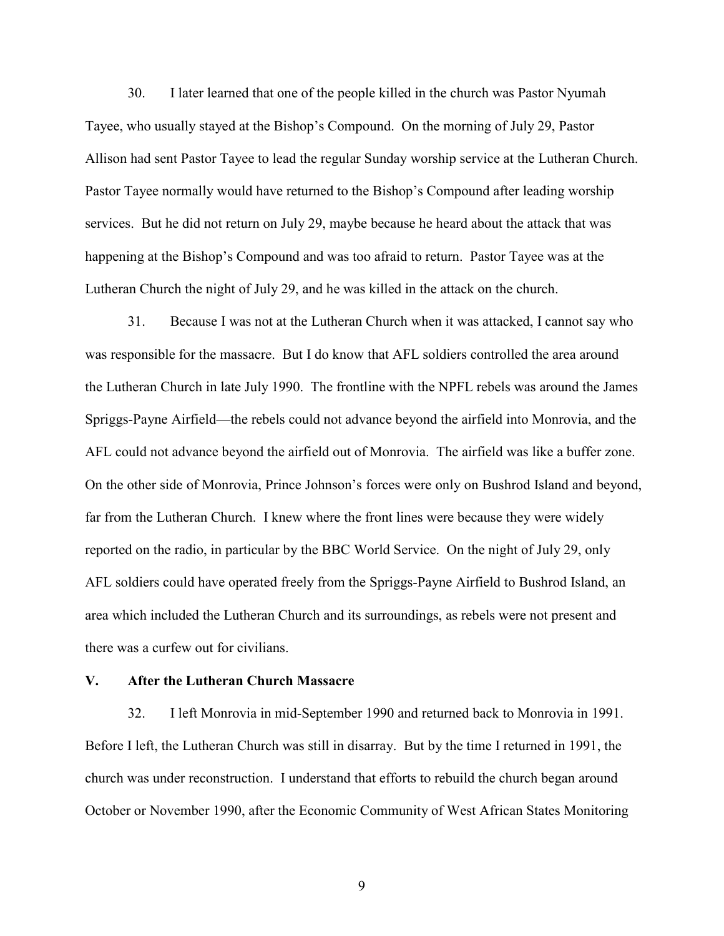30. I later learned that one of the people killed in the church was Pastor Nyumah Tayee, who usually stayed at the Bishop's Compound. On the morning of July 29, Pastor Allison had sent Pastor Tayee to lead the regular Sunday worship service at the Lutheran Church. Pastor Tayee normally would have returned to the Bishop's Compound after leading worship services. But he did not return on July 29, maybe because he heard about the attack that was happening at the Bishop's Compound and was too afraid to return. Pastor Tayee was at the Lutheran Church the night of July 29, and he was killed in the attack on the church.

31. Because I was not at the Lutheran Church when it was attacked, I cannot say who was responsible for the massacre. But I do know that AFL soldiers controlled the area around the Lutheran Church in late July 1990. The frontline with the NPFL rebels was around the James Spriggs-Payne Airfield—the rebels could not advance beyond the airfield into Monrovia, and the AFL could not advance beyond the airfield out of Monrovia. The airfield was like a buffer zone. On the other side of Monrovia, Prince Johnson's forces were only on Bushrod Island and beyond, far from the Lutheran Church. I knew where the front lines were because they were widely reported on the radio, in particular by the BBC World Service. On the night of July 29, only AFL soldiers could have operated freely from the Spriggs-Payne Airfield to Bushrod Island, an area which included the Lutheran Church and its surroundings, as rebels were not present and there was a curfew out for civilians.

#### **V. After the Lutheran Church Massacre**

32. I left Monrovia in mid-September 1990 and returned back to Monrovia in 1991. Before I left, the Lutheran Church was still in disarray. But by the time I returned in 1991, the church was under reconstruction. I understand that efforts to rebuild the church began around October or November 1990, after the Economic Community of West African States Monitoring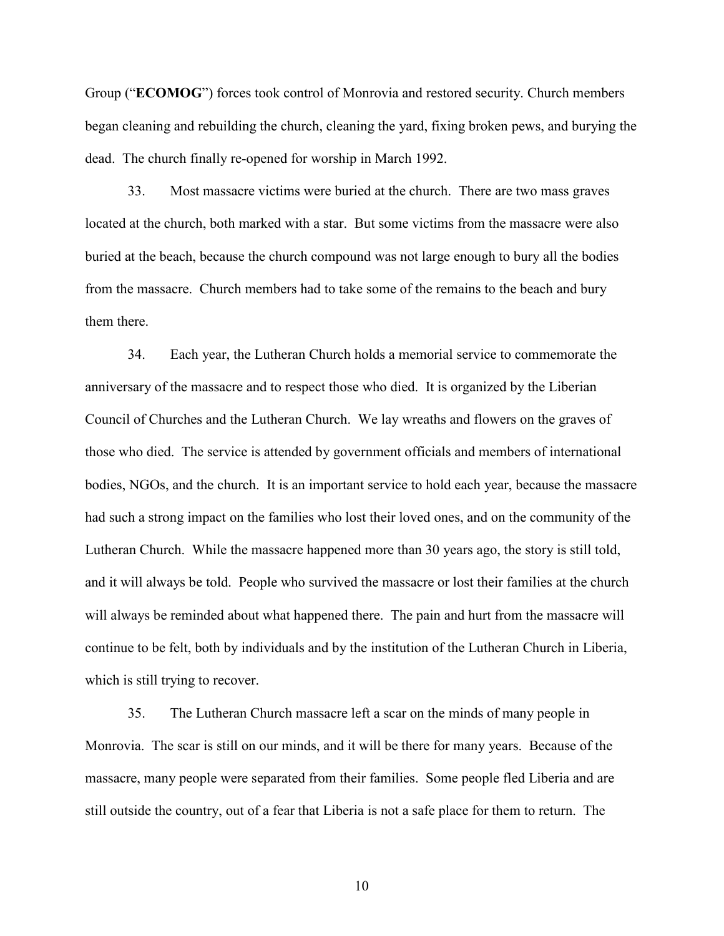Group ("**ECOMOG**") forces took control of Monrovia and restored security. Church members began cleaning and rebuilding the church, cleaning the yard, fixing broken pews, and burying the dead. The church finally re-opened for worship in March 1992.

33. Most massacre victims were buried at the church. There are two mass graves located at the church, both marked with a star. But some victims from the massacre were also buried at the beach, because the church compound was not large enough to bury all the bodies from the massacre. Church members had to take some of the remains to the beach and bury them there.

34. Each year, the Lutheran Church holds a memorial service to commemorate the anniversary of the massacre and to respect those who died. It is organized by the Liberian Council of Churches and the Lutheran Church. We lay wreaths and flowers on the graves of those who died. The service is attended by government officials and members of international bodies, NGOs, and the church. It is an important service to hold each year, because the massacre had such a strong impact on the families who lost their loved ones, and on the community of the Lutheran Church. While the massacre happened more than 30 years ago, the story is still told, and it will always be told. People who survived the massacre or lost their families at the church will always be reminded about what happened there. The pain and hurt from the massacre will continue to be felt, both by individuals and by the institution of the Lutheran Church in Liberia, which is still trying to recover.

35. The Lutheran Church massacre left a scar on the minds of many people in Monrovia. The scar is still on our minds, and it will be there for many years. Because of the massacre, many people were separated from their families. Some people fled Liberia and are still outside the country, out of a fear that Liberia is not a safe place for them to return. The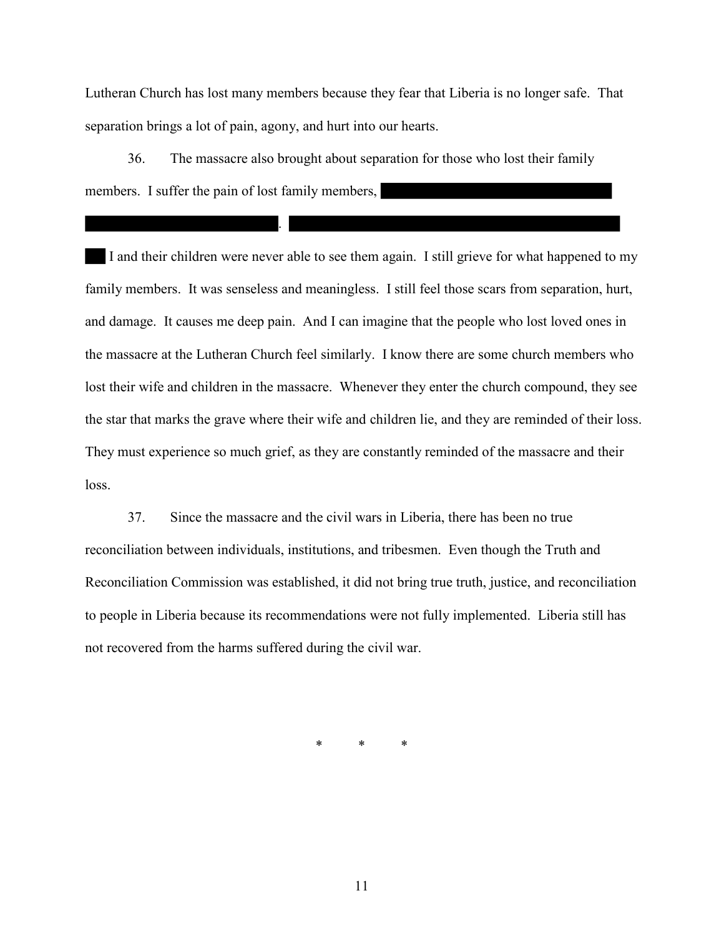Lutheran Church has lost many members because they fear that Liberia is no longer safe. That separation brings a lot of pain, agony, and hurt into our hearts.

36. The massacre also brought about separation for those who lost their family members. I suffer the pain of lost family members,

.

I and their children were never able to see them again. I still grieve for what happened to my family members. It was senseless and meaningless. I still feel those scars from separation, hurt, and damage. It causes me deep pain. And I can imagine that the people who lost loved ones in the massacre at the Lutheran Church feel similarly. I know there are some church members who lost their wife and children in the massacre. Whenever they enter the church compound, they see the star that marks the grave where their wife and children lie, and they are reminded of their loss. They must experience so much grief, as they are constantly reminded of the massacre and their loss.

37. Since the massacre and the civil wars in Liberia, there has been no true reconciliation between individuals, institutions, and tribesmen. Even though the Truth and Reconciliation Commission was established, it did not bring true truth, justice, and reconciliation to people in Liberia because its recommendations were not fully implemented. Liberia still has not recovered from the harms suffered during the civil war.

\* \* \*